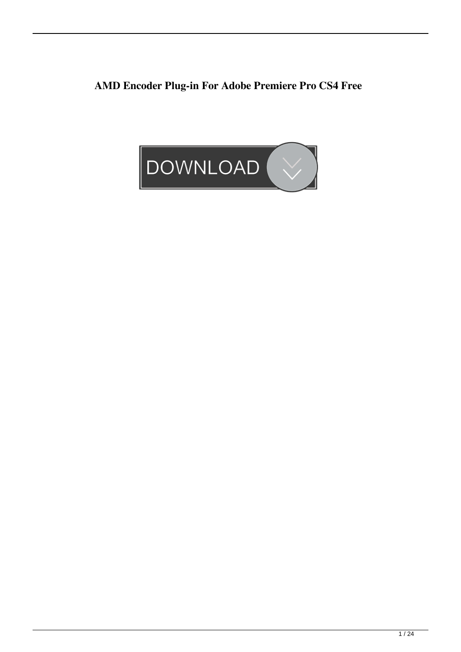**AMD Encoder Plug-in For Adobe Premiere Pro CS4 Free**

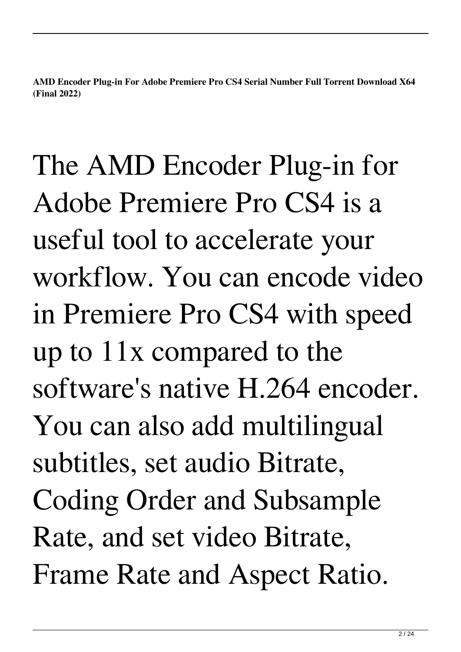**AMD Encoder Plug-in For Adobe Premiere Pro CS4 Serial Number Full Torrent Download X64 (Final 2022)**

The AMD Encoder Plug-in for Adobe Premiere Pro CS4 is a useful tool to accelerate your workflow. You can encode video in Premiere Pro CS4 with speed up to 11x compared to the software's native H.264 encoder. You can also add multilingual subtitles, set audio Bitrate, Coding Order and Subsample Rate, and set video Bitrate, Frame Rate and Aspect Ratio.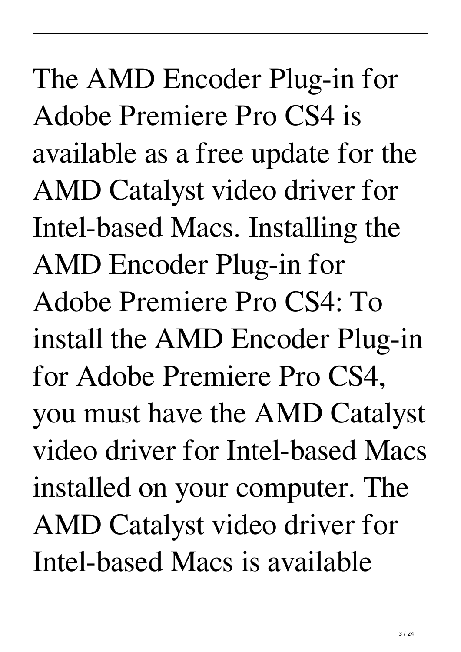The AMD Encoder Plug-in for Adobe Premiere Pro CS4 is available as a free update for the AMD Catalyst video driver for Intel-based Macs. Installing the AMD Encoder Plug-in for Adobe Premiere Pro CS4: To install the AMD Encoder Plug-in for Adobe Premiere Pro CS4, you must have the AMD Catalyst video driver for Intel-based Macs installed on your computer. The AMD Catalyst video driver for Intel-based Macs is available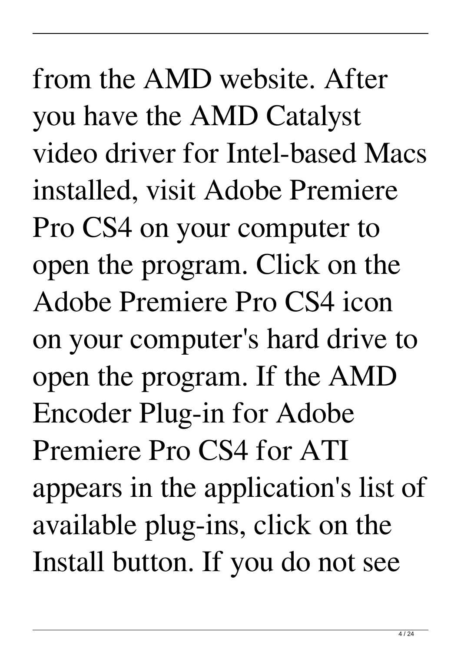from the AMD website. After you have the AMD Catalyst video driver for Intel-based Macs installed, visit Adobe Premiere Pro CS4 on your computer to open the program. Click on the Adobe Premiere Pro CS4 icon on your computer's hard drive to open the program. If the AMD Encoder Plug-in for Adobe Premiere Pro CS4 for ATI appears in the application's list of available plug-ins, click on the Install button. If you do not see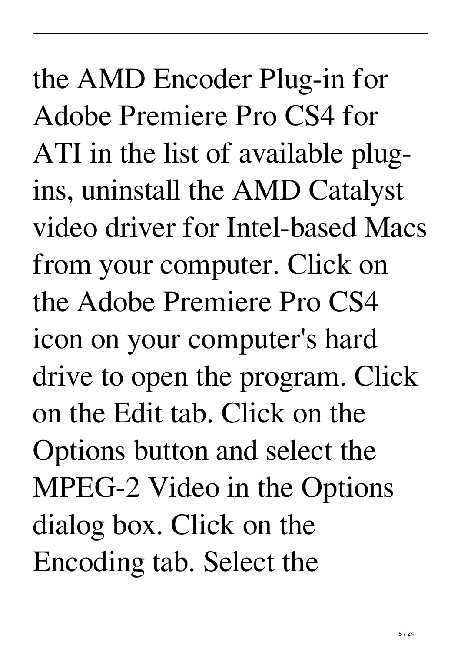the AMD Encoder Plug-in for Adobe Premiere Pro CS4 for ATI in the list of available plugins, uninstall the AMD Catalyst video driver for Intel-based Macs from your computer. Click on the Adobe Premiere Pro CS4 icon on your computer's hard drive to open the program. Click on the Edit tab. Click on the Options button and select the MPEG-2 Video in the Options dialog box. Click on the Encoding tab. Select the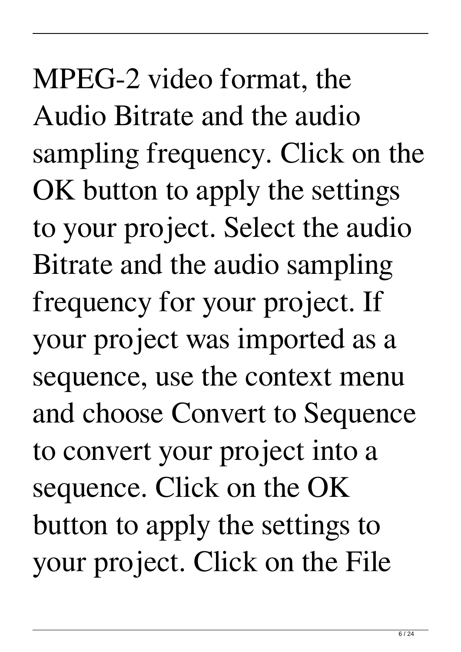MPEG-2 video format, the Audio Bitrate and the audio sampling frequency. Click on the OK button to apply the settings to your project. Select the audio Bitrate and the audio sampling frequency for your project. If your project was imported as a sequence, use the context menu and choose Convert to Sequence to convert your project into a sequence. Click on the OK button to apply the settings to your project. Click on the File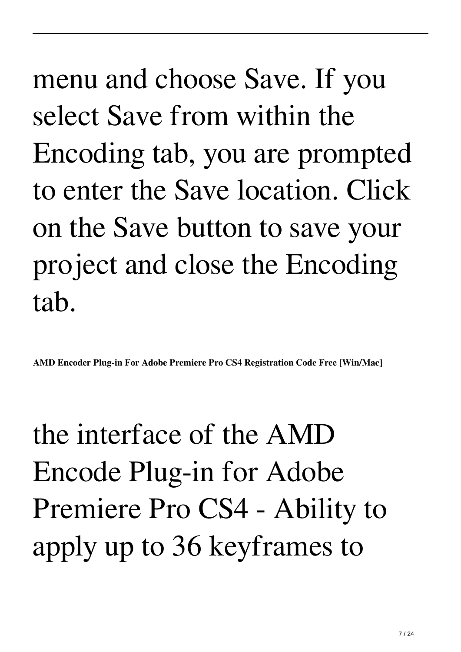menu and choose Save. If you select Save from within the Encoding tab, you are prompted to enter the Save location. Click on the Save button to save your project and close the Encoding tab.

**AMD Encoder Plug-in For Adobe Premiere Pro CS4 Registration Code Free [Win/Mac]**

the interface of the AMD Encode Plug-in for Adobe Premiere Pro CS4 - Ability to apply up to 36 keyframes to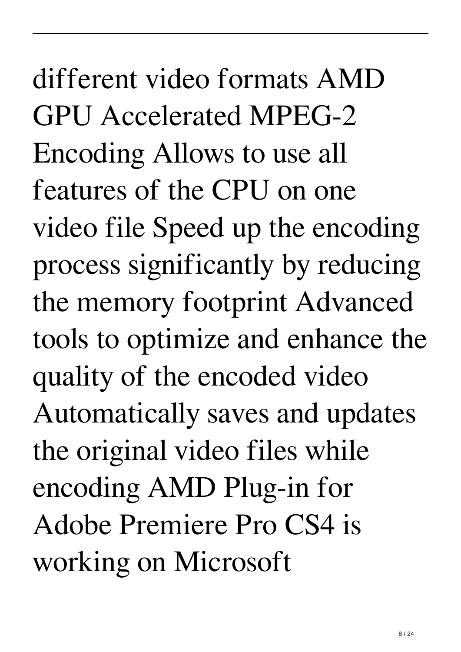different video formats AMD GPU Accelerated MPEG-2 Encoding Allows to use all features of the CPU on one video file Speed up the encoding process significantly by reducing the memory footprint Advanced tools to optimize and enhance the quality of the encoded video Automatically saves and updates the original video files while encoding AMD Plug-in for Adobe Premiere Pro CS4 is working on Microsoft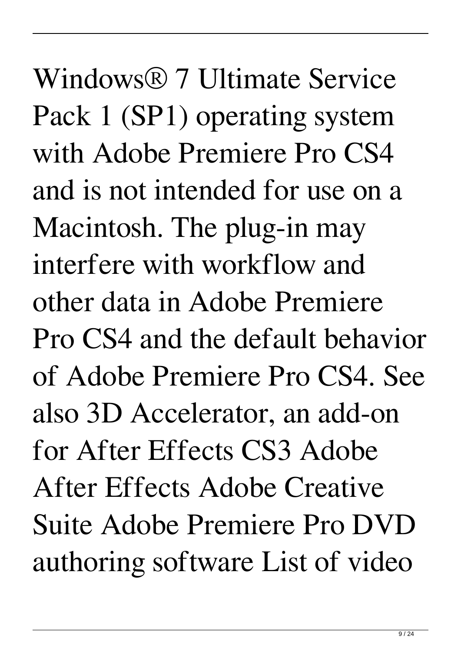Windows® 7 Ultimate Service Pack 1 (SP1) operating system with Adobe Premiere Pro CS4 and is not intended for use on a Macintosh. The plug-in may interfere with workflow and other data in Adobe Premiere Pro CS4 and the default behavior of Adobe Premiere Pro CS4. See also 3D Accelerator, an add-on for After Effects CS3 Adobe After Effects Adobe Creative Suite Adobe Premiere Pro DVD authoring software List of video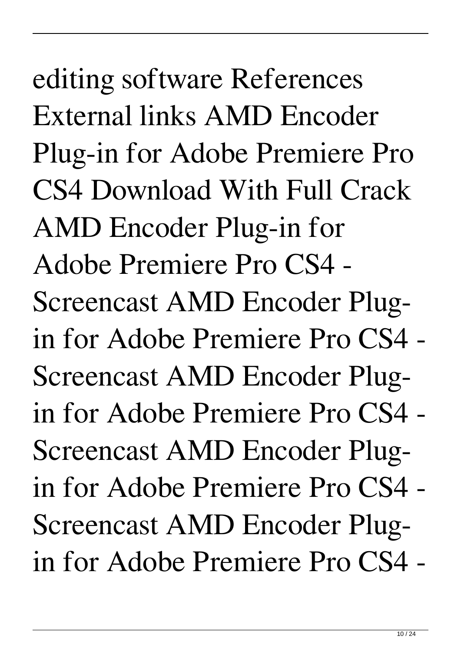editing software References External links AMD Encoder Plug-in for Adobe Premiere Pro CS4 Download With Full Crack AMD Encoder Plug-in for Adobe Premiere Pro CS4 - Screencast AMD Encoder Plugin for Adobe Premiere Pro CS4 - Screencast AMD Encoder Plugin for Adobe Premiere Pro CS4 - Screencast AMD Encoder Plugin for Adobe Premiere Pro CS4 - Screencast AMD Encoder Plugin for Adobe Premiere Pro CS4 -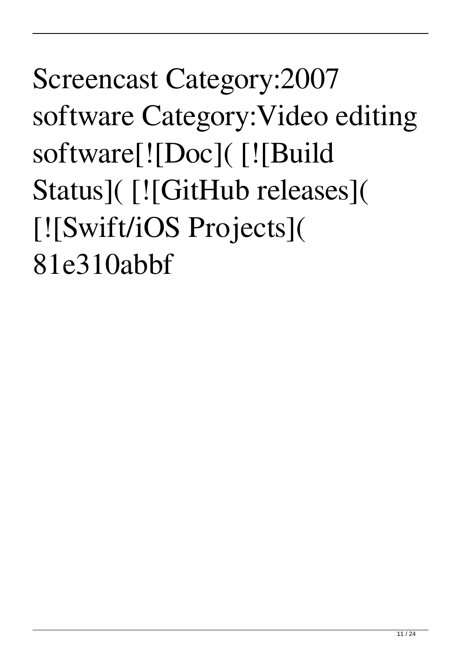## Screencast Category:2007 software Category:Video editing software[![Doc]( [![Build Status]( [![GitHub releases]( [![Swift/iOS Projects]( 81e310abbf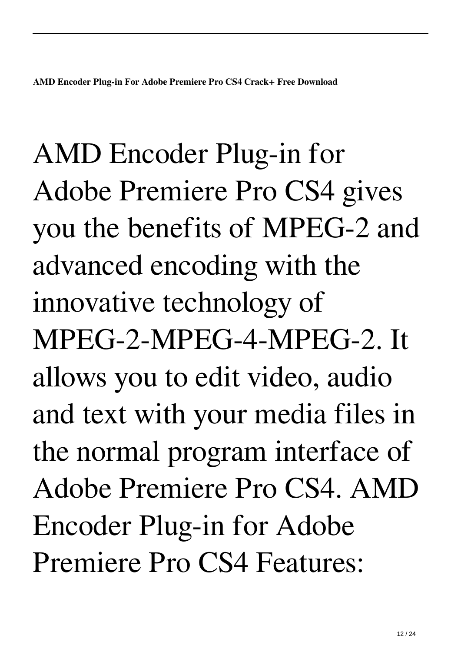AMD Encoder Plug-in for Adobe Premiere Pro CS4 gives you the benefits of MPEG-2 and advanced encoding with the innovative technology of MPEG-2-MPEG-4-MPEG-2. It allows you to edit video, audio and text with your media files in the normal program interface of Adobe Premiere Pro CS4. AMD Encoder Plug-in for Adobe Premiere Pro CS4 Features: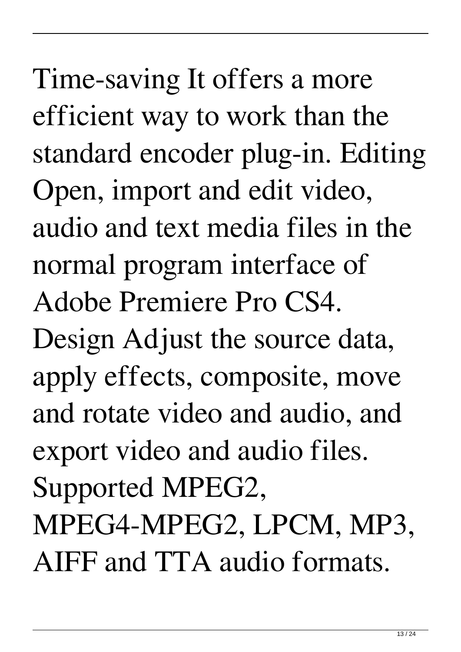Time-saving It offers a more efficient way to work than the standard encoder plug-in. Editing Open, import and edit video, audio and text media files in the normal program interface of Adobe Premiere Pro CS4. Design Adjust the source data, apply effects, composite, move and rotate video and audio, and export video and audio files. Supported MPEG2, MPEG4-MPEG2, LPCM, MP3, AIFF and TTA audio formats.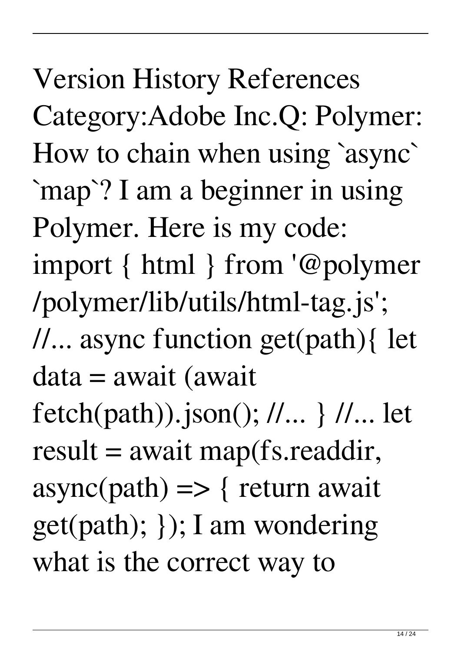Version History References Category:Adobe Inc.Q: Polymer: How to chain when using `async` `map`? I am a beginner in using Polymer. Here is my code: import { html } from '@polymer /polymer/lib/utils/html-tag.js'; //... async function get(path){ let data = await (await fetch(path)).json(); //... } //... let  $result = await map(fs.readdir,$  $async(path)$  => { return await get(path); }); I am wondering what is the correct way to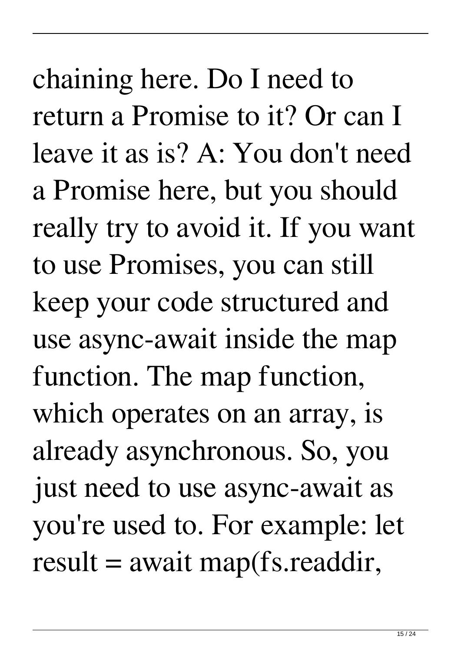chaining here. Do I need to return a Promise to it? Or can I leave it as is? A: You don't need a Promise here, but you should really try to avoid it. If you want to use Promises, you can still keep your code structured and use async-await inside the map function. The map function, which operates on an array, is already asynchronous. So, you just need to use async-await as you're used to. For example: let  $result = await map(fs.readdir,$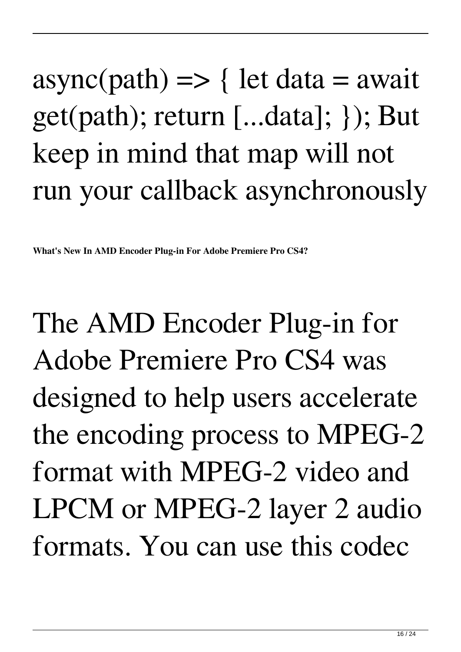## $async(path) \implies \{ let data = await$ get(path); return [...data]; }); But keep in mind that map will not run your callback asynchronously

**What's New In AMD Encoder Plug-in For Adobe Premiere Pro CS4?**

The AMD Encoder Plug-in for Adobe Premiere Pro CS4 was designed to help users accelerate the encoding process to MPEG-2 format with MPEG-2 video and LPCM or MPEG-2 layer 2 audio formats. You can use this codec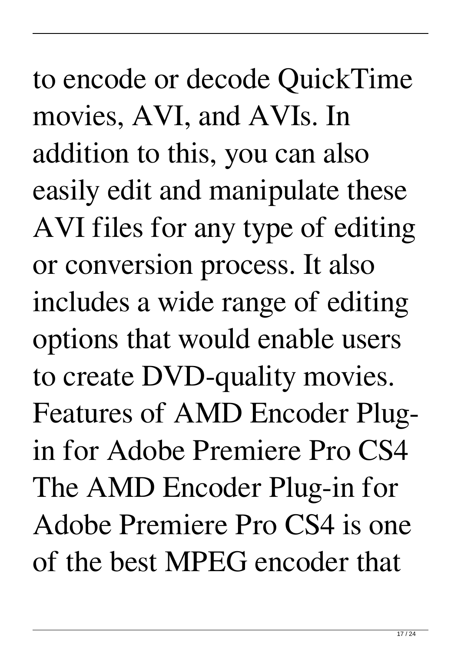to encode or decode QuickTime movies, AVI, and AVIs. In addition to this, you can also easily edit and manipulate these AVI files for any type of editing or conversion process. It also includes a wide range of editing options that would enable users to create DVD-quality movies. Features of AMD Encoder Plugin for Adobe Premiere Pro CS4 The AMD Encoder Plug-in for Adobe Premiere Pro CS4 is one of the best MPEG encoder that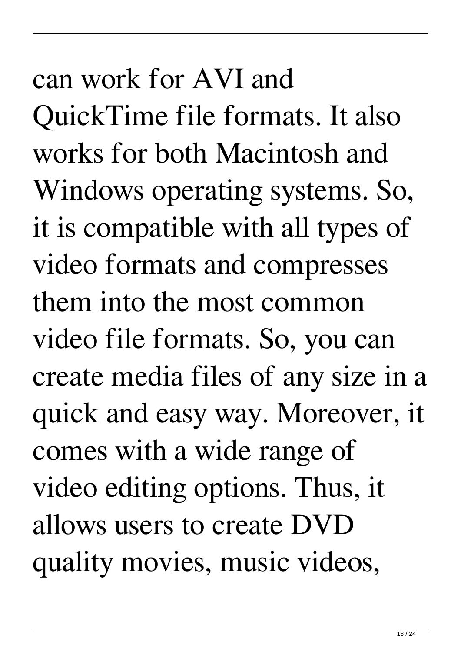## can work for AVI and QuickTime file formats. It also works for both Macintosh and Windows operating systems. So, it is compatible with all types of video formats and compresses them into the most common video file formats. So, you can create media files of any size in a quick and easy way. Moreover, it comes with a wide range of video editing options. Thus, it allows users to create DVD quality movies, music videos,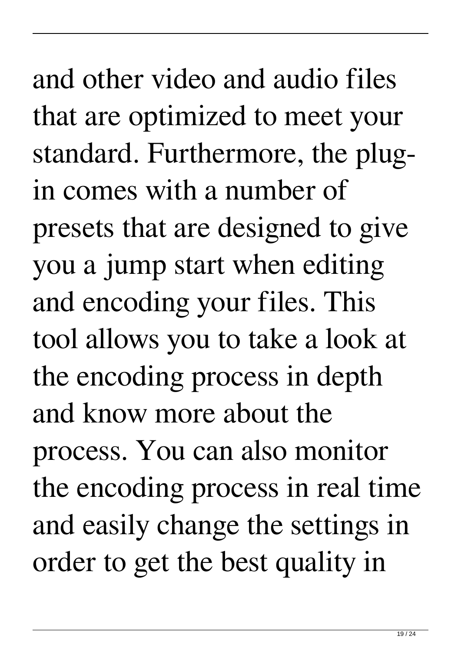and other video and audio files that are optimized to meet your standard. Furthermore, the plugin comes with a number of presets that are designed to give you a jump start when editing and encoding your files. This tool allows you to take a look at the encoding process in depth and know more about the process. You can also monitor the encoding process in real time and easily change the settings in order to get the best quality in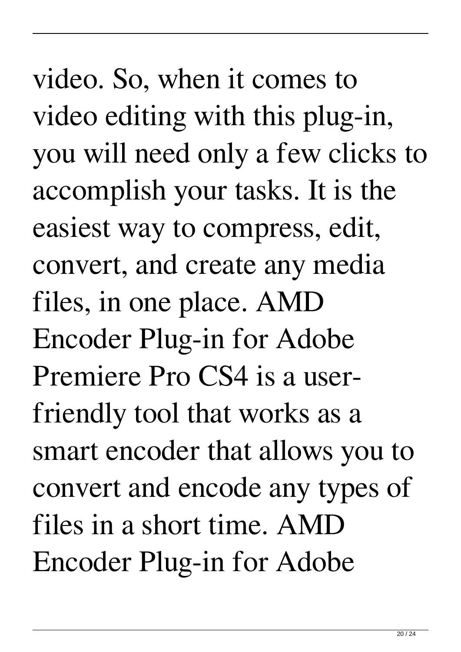video. So, when it comes to video editing with this plug-in, you will need only a few clicks to accomplish your tasks. It is the easiest way to compress, edit, convert, and create any media files, in one place. AMD Encoder Plug-in for Adobe Premiere Pro CS4 is a userfriendly tool that works as a smart encoder that allows you to convert and encode any types of files in a short time. AMD Encoder Plug-in for Adobe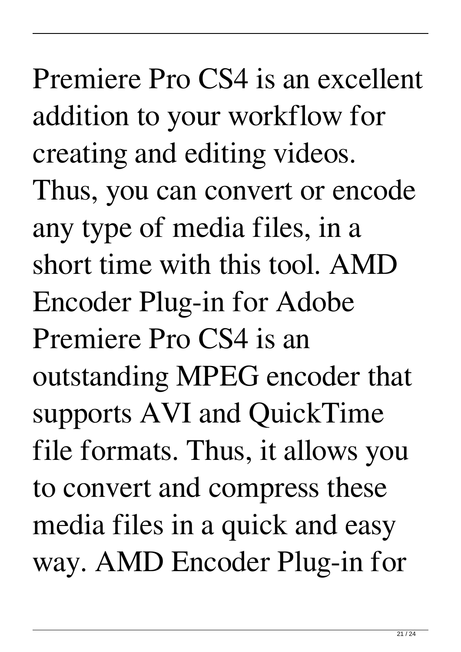Premiere Pro CS4 is an excellent addition to your workflow for creating and editing videos. Thus, you can convert or encode any type of media files, in a short time with this tool. AMD Encoder Plug-in for Adobe Premiere Pro CS4 is an outstanding MPEG encoder that supports AVI and QuickTime file formats. Thus, it allows you to convert and compress these media files in a quick and easy way. AMD Encoder Plug-in for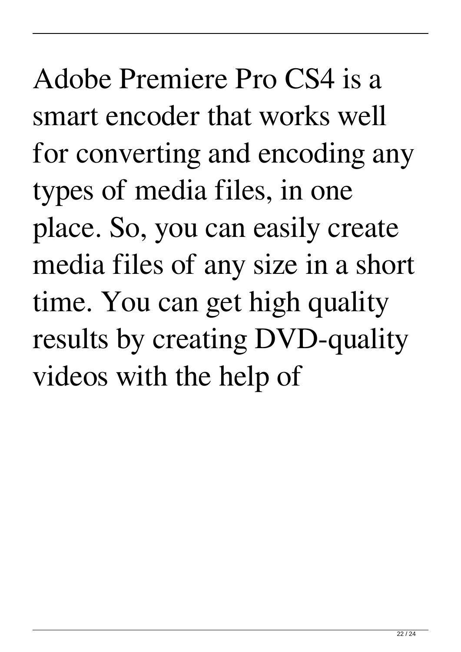Adobe Premiere Pro CS4 is a smart encoder that works well for converting and encoding any types of media files, in one place. So, you can easily create media files of any size in a short time. You can get high quality results by creating DVD-quality videos with the help of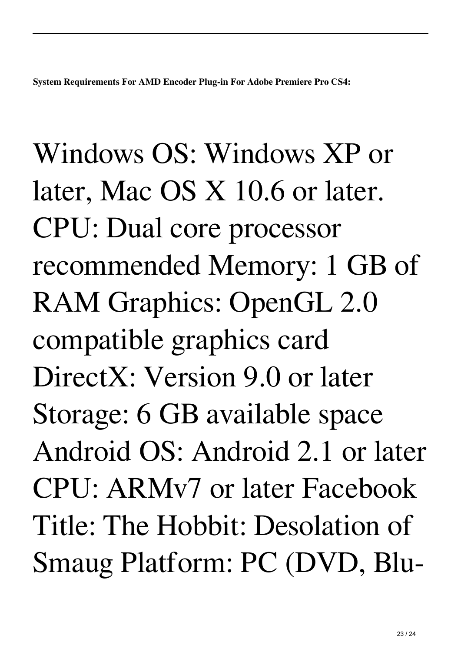**System Requirements For AMD Encoder Plug-in For Adobe Premiere Pro CS4:**

Windows OS: Windows XP or later, Mac OS X 10.6 or later. CPU: Dual core processor recommended Memory: 1 GB of RAM Graphics: OpenGL 2.0 compatible graphics card DirectX: Version 9.0 or later Storage: 6 GB available space Android OS: Android 2.1 or later CPU: ARMv7 or later Facebook Title: The Hobbit: Desolation of Smaug Platform: PC (DVD, Blu-